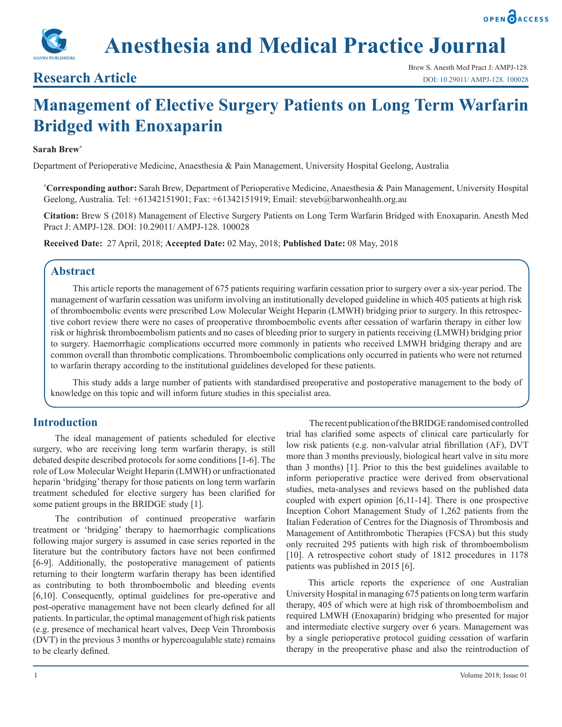# **Anesthesia and Medical Practice Journal**

### **Research Article**

## **Management of Elective Surgery Patients on Long Term Warfarin Bridged with Enoxaparin**

#### **Sarah Brew\***

Department of Perioperative Medicine, Anaesthesia & Pain Management, University Hospital Geelong, Australia

**\* Corresponding author:** Sarah Brew, Department of Perioperative Medicine, Anaesthesia & Pain Management, University Hospital Geelong, Australia. Tel: +61342151901; Fax: +61342151919; Email: steveb@barwonhealth.org.au

**Citation:** Brew S (2018) Management of Elective Surgery Patients on Long Term Warfarin Bridged with Enoxaparin. Anesth Med Pract J: AMPJ-128. DOI: 10.29011/ AMPJ-128. 100028

**Received Date:** 27 April, 2018; **Accepted Date:** 02 May, 2018; **Published Date:** 08 May, 2018

#### **Abstract**

This article reports the management of 675 patients requiring warfarin cessation prior to surgery over a six-year period. The management of warfarin cessation was uniform involving an institutionally developed guideline in which 405 patients at high risk of thromboembolic events were prescribed Low Molecular Weight Heparin (LMWH) bridging prior to surgery. In this retrospective cohort review there were no cases of preoperative thromboembolic events after cessation of warfarin therapy in either low risk or highrisk thromboembolism patients and no cases of bleeding prior to surgery in patients receiving (LMWH) bridging prior to surgery. Haemorrhagic complications occurred more commonly in patients who received LMWH bridging therapy and are common overall than thrombotic complications. Thromboembolic complications only occurred in patients who were not returned to warfarin therapy according to the institutional guidelines developed for these patients.

This study adds a large number of patients with standardised preoperative and postoperative management to the body of knowledge on this topic and will inform future studies in this specialist area.

#### **Introduction**

The ideal management of patients scheduled for elective surgery, who are receiving long term warfarin therapy, is still debated despite described protocols for some conditions [1-6]. The role of Low Molecular Weight Heparin (LMWH) or unfractionated heparin 'bridging' therapy for those patients on long term warfarin treatment scheduled for elective surgery has been clarified for some patient groups in the BRIDGE study [1].

The contribution of continued preoperative warfarin treatment or 'bridging' therapy to haemorrhagic complications following major surgery is assumed in case series reported in the literature but the contributory factors have not been confirmed [6-9]. Additionally, the postoperative management of patients returning to their longterm warfarin therapy has been identified as contributing to both thromboembolic and bleeding events [6,10]. Consequently, optimal guidelines for pre-operative and post-operative management have not been clearly defined for all patients. In particular, the optimal management of high risk patients (e.g. presence of mechanical heart valves, Deep Vein Thrombosis (DVT) in the previous 3 months or hypercoagulable state) remains to be clearly defined.

 The recent publication of the BRIDGE randomised controlled trial has clarified some aspects of clinical care particularly for low risk patients (e.g. non-valvular atrial fibrillation (AF), DVT more than 3 months previously, biological heart valve in situ more than 3 months) [1]. Prior to this the best guidelines available to inform perioperative practice were derived from observational studies, meta-analyses and reviews based on the published data coupled with expert opinion [6,11-14]. There is one prospective Inception Cohort Management Study of 1,262 patients from the Italian Federation of Centres for the Diagnosis of Thrombosis and Management of Antithrombotic Therapies (FCSA) but this study only recruited 295 patients with high risk of thromboembolism [10]. A retrospective cohort study of 1812 procedures in 1178 patients was published in 2015 [6].

This article reports the experience of one Australian University Hospital in managing 675 patients on long term warfarin therapy, 405 of which were at high risk of thromboembolism and required LMWH (Enoxaparin) bridging who presented for major and intermediate elective surgery over 6 years. Management was by a single perioperative protocol guiding cessation of warfarin therapy in the preoperative phase and also the reintroduction of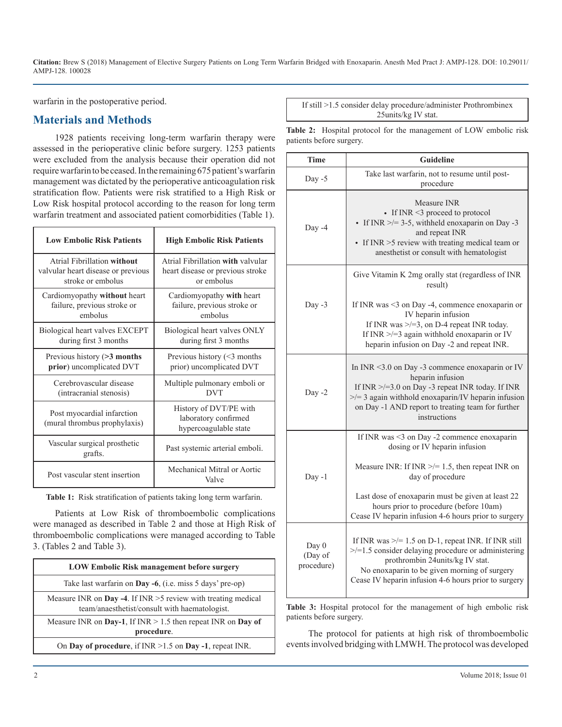warfarin in the postoperative period.

#### **Materials and Methods**

1928 patients receiving long-term warfarin therapy were assessed in the perioperative clinic before surgery. 1253 patients were excluded from the analysis because their operation did not require warfarin to be ceased. In the remaining 675 patient's warfarin management was dictated by the perioperative anticoagulation risk stratification flow. Patients were risk stratified to a High Risk or Low Risk hospital protocol according to the reason for long term warfarin treatment and associated patient comorbidities (Table 1).

| <b>Low Embolic Risk Patients</b>                           | <b>High Embolic Risk Patients</b>                                       |
|------------------------------------------------------------|-------------------------------------------------------------------------|
| Atrial Fibrillation without                                | Atrial Fibrillation with valvular                                       |
| valvular heart disease or previous                         | heart disease or previous stroke                                        |
| stroke or embolus                                          | or embolus                                                              |
| Cardiomy opathy without heart                              | Cardiomy opathy with heart                                              |
| failure, previous stroke or                                | failure, previous stroke or                                             |
| embolus                                                    | embolus                                                                 |
| Biological heart valves EXCEPT                             | Biological heart valves ONLY                                            |
| during first 3 months                                      | during first 3 months                                                   |
| Previous history $(>3$ months                              | Previous history (<3 months                                             |
| prior) uncomplicated DVT                                   | prior) uncomplicated DVT                                                |
| Cerebrovascular disease                                    | Multiple pulmonary emboli or                                            |
| (intracranial stenosis)                                    | <b>DVT</b>                                                              |
| Post myocardial infarction<br>(mural thrombus prophylaxis) | History of DVT/PE with<br>laboratory confirmed<br>hypercoagulable state |
| Vascular surgical prosthetic<br>grafts.                    | Past systemic arterial emboli.                                          |
| Post vascular stent insertion                              | Mechanical Mitral or Aortic<br>Valve                                    |

**Table 1:** Risk stratification of patients taking long term warfarin.

Patients at Low Risk of thromboembolic complications were managed as described in Table 2 and those at High Risk of thromboembolic complications were managed according to Table 3. (Tables 2 and Table 3).

| <b>LOW Embolic Risk management before surgery</b>                                                                |  |  |
|------------------------------------------------------------------------------------------------------------------|--|--|
| Take last warfarin on Day -6, (i.e. miss 5 days' pre-op)                                                         |  |  |
| Measure INR on Day -4. If INR $>5$ review with treating medical<br>team/anaesthetist/consult with haematologist. |  |  |
| Measure INR on Day-1, If INR $> 1.5$ then repeat INR on Day of<br>procedure.                                     |  |  |
| On Day of procedure, if $INR > 1.5$ on Day -1, repeat INR.                                                       |  |  |

If still >1.5 consider delay procedure/administer Prothrombinex 25units/kg IV stat.

**Table 2:** Hospital protocol for the management of LOW embolic risk patients before surgery.

| <b>Time</b>                    | <b>Guideline</b>                                                                                                                                                                                                                                                |  |  |  |
|--------------------------------|-----------------------------------------------------------------------------------------------------------------------------------------------------------------------------------------------------------------------------------------------------------------|--|--|--|
| Day -5                         | Take last warfarin, not to resume until post-<br>procedure                                                                                                                                                                                                      |  |  |  |
| Day -4                         | Measure INR<br>• If INR <3 proceed to protocol<br>• If INR $\ge$ /= 3-5, withheld enoxaparin on Day -3<br>and repeat INR<br>$\bullet$ If INR $>5$ review with treating medical team or<br>anesthetist or consult with hematologist                              |  |  |  |
|                                | Give Vitamin K 2mg orally stat (regardless of INR<br>result)                                                                                                                                                                                                    |  |  |  |
| Day -3                         | If INR was <3 on Day -4, commence enoxaparin or<br>IV heparin infusion<br>If INR was $\ge$ /=3, on D-4 repeat INR today.<br>If INR $\ge$ /=3 again withhold enoxaparin or IV<br>heparin infusion on Day -2 and repeat INR.                                      |  |  |  |
| Day $-2$                       | In INR < $3.0$ on Day -3 commence enoxaparin or IV<br>heparin infusion<br>If $INR \ge 3.0$ on Day -3 repeat INR today. If INR<br>$\ge$ /= 3 again withhold enoxaparin/IV heparin infusion<br>on Day -1 AND report to treating team for further<br>instructions  |  |  |  |
|                                | If INR was <3 on Day -2 commence enoxaparin<br>dosing or IV heparin infusion                                                                                                                                                                                    |  |  |  |
| $Day -1$                       | Measure INR: If INR $\ge$ /= 1.5, then repeat INR on<br>day of procedure                                                                                                                                                                                        |  |  |  |
|                                | Last dose of enoxaparin must be given at least 22<br>hours prior to procedure (before 10am)<br>Cease IV heparin infusion 4-6 hours prior to surgery                                                                                                             |  |  |  |
| Day 0<br>(Day of<br>procedure) | If INR was $\ge$ /= 1.5 on D-1, repeat INR. If INR still<br>$\ge$ /=1.5 consider delaying procedure or administering<br>prothrombin 24units/kg IV stat.<br>No enoxaparin to be given morning of surgery<br>Cease IV heparin infusion 4-6 hours prior to surgery |  |  |  |

Table 3: Hospital protocol for the management of high embolic risk patients before surgery.

The protocol for patients at high risk of thromboembolic events involved bridging with LMWH. The protocol was developed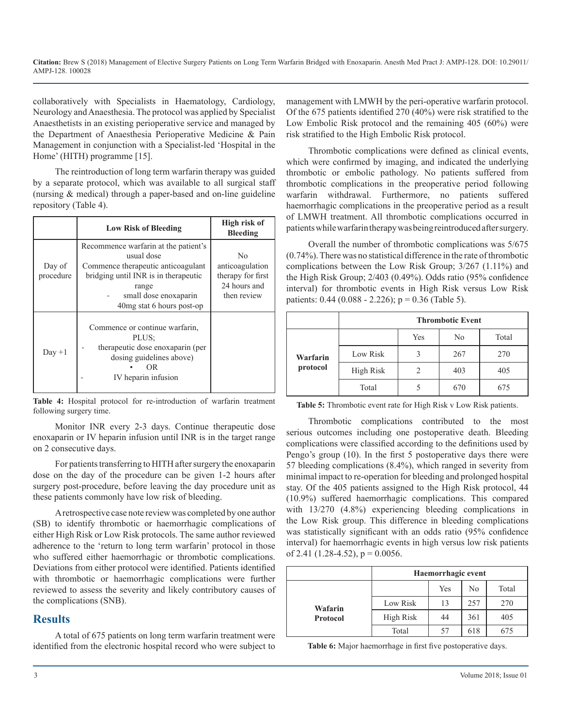collaboratively with Specialists in Haematology, Cardiology, Neurology and Anaesthesia. The protocol was applied by Specialist Anaesthetists in an existing perioperative service and managed by the Department of Anaesthesia Perioperative Medicine & Pain Management in conjunction with a Specialist-led 'Hospital in the Home' (HITH) programme [15].

The reintroduction of long term warfarin therapy was guided by a separate protocol, which was available to all surgical staff (nursing & medical) through a paper-based and on-line guideline repository (Table 4).

|                     | <b>Low Risk of Bleeding</b>                                                                                                                                                                      | High risk of<br>Bleeding                                                              |
|---------------------|--------------------------------------------------------------------------------------------------------------------------------------------------------------------------------------------------|---------------------------------------------------------------------------------------|
| Day of<br>procedure | Recommence warfarin at the patient's<br>usual dose<br>Commence therapeutic anticoagulant<br>bridging until INR is in therapeutic<br>range<br>small dose enoxaparin<br>40 mg stat 6 hours post-op | N <sub>0</sub><br>anticoagulation<br>therapy for first<br>24 hours and<br>then review |
| $Day + 1$           | Commence or continue warfarin.<br>PLUS:<br>therapeutic dose enoxaparin (per<br>dosing guidelines above)<br>OR<br>IV heparin infusion                                                             |                                                                                       |

**Table 4:** Hospital protocol for re-introduction of warfarin treatment following surgery time.

Monitor INR every 2-3 days. Continue therapeutic dose enoxaparin or IV heparin infusion until INR is in the target range on 2 consecutive days.

For patients transferring to HITH after surgery the enoxaparin dose on the day of the procedure can be given 1-2 hours after surgery post-procedure, before leaving the day procedure unit as these patients commonly have low risk of bleeding.

A retrospective case note review was completed by one author (SB) to identify thrombotic or haemorrhagic complications of either High Risk or Low Risk protocols. The same author reviewed adherence to the 'return to long term warfarin' protocol in those who suffered either haemorrhagic or thrombotic complications. Deviations from either protocol were identified. Patients identified with thrombotic or haemorrhagic complications were further reviewed to assess the severity and likely contributory causes of the complications (SNB).

#### **Results**

A total of 675 patients on long term warfarin treatment were identified from the electronic hospital record who were subject to

management with LMWH by the peri-operative warfarin protocol. Of the 675 patients identified 270 (40%) were risk stratified to the Low Embolic Risk protocol and the remaining 405 (60%) were risk stratified to the High Embolic Risk protocol.

Thrombotic complications were defined as clinical events, which were confirmed by imaging, and indicated the underlying thrombotic or embolic pathology. No patients suffered from thrombotic complications in the preoperative period following warfarin withdrawal. Furthermore, no patients suffered haemorrhagic complications in the preoperative period as a result of LMWH treatment. All thrombotic complications occurred in patients while warfarin therapy was being reintroduced after surgery.

Overall the number of thrombotic complications was 5/675 (0.74%). There was no statistical difference in the rate of thrombotic complications between the Low Risk Group; 3/267 (1.11%) and the High Risk Group; 2/403 (0.49%). Odds ratio (95% confidence interval) for thrombotic events in High Risk versus Low Risk patients:  $0.44$  ( $0.088 - 2.226$ );  $p = 0.36$  (Table 5).

|                      | <b>Thrombotic Event</b> |     |     |       |  |
|----------------------|-------------------------|-----|-----|-------|--|
|                      |                         | Yes | No  | Total |  |
| Warfarin<br>protocol | Low Risk                |     | 267 | 270   |  |
|                      | <b>High Risk</b>        |     | 403 | 405   |  |
|                      | Total                   |     | 670 | 675   |  |

**Table 5:** Thrombotic event rate for High Risk v Low Risk patients.

Thrombotic complications contributed to the most serious outcomes including one postoperative death. Bleeding complications were classified according to the definitions used by Pengo's group (10). In the first 5 postoperative days there were 57 bleeding complications (8.4%), which ranged in severity from minimal impact to re-operation for bleeding and prolonged hospital stay. Of the 405 patients assigned to the High Risk protocol, 44 (10.9%) suffered haemorrhagic complications. This compared with 13/270 (4.8%) experiencing bleeding complications in the Low Risk group. This difference in bleeding complications was statistically significant with an odds ratio (95% confidence interval) for haemorrhagic events in high versus low risk patients of 2.41 (1.28-4.52),  $p = 0.0056$ .

|                            | Haemorrhagic event |     |     |       |
|----------------------------|--------------------|-----|-----|-------|
|                            |                    | Yes | No  | Total |
| Wafarin<br><b>Protocol</b> | Low Risk           | 13  | 257 | 270   |
|                            | High Risk          | 44  | 361 | 405   |
|                            | Total              |     | 618 | 675   |

**Table 6:** Major haemorrhage in first five postoperative days.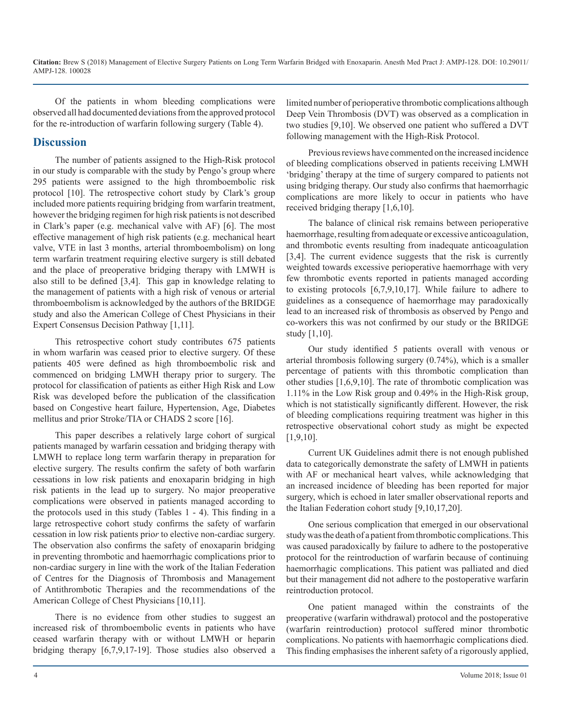Of the patients in whom bleeding complications were observed all had documented deviations from the approved protocol for the re-introduction of warfarin following surgery (Table 4).

#### **Discussion**

The number of patients assigned to the High-Risk protocol in our study is comparable with the study by Pengo's group where 295 patients were assigned to the high thromboembolic risk protocol [10]. The retrospective cohort study by Clark's group included more patients requiring bridging from warfarin treatment, however the bridging regimen for high risk patients is not described in Clark's paper (e.g. mechanical valve with AF) [6]. The most effective management of high risk patients (e.g. mechanical heart valve, VTE in last 3 months, arterial thromboembolism) on long term warfarin treatment requiring elective surgery is still debated and the place of preoperative bridging therapy with LMWH is also still to be defined [3,4]. This gap in knowledge relating to the management of patients with a high risk of venous or arterial thromboembolism is acknowledged by the authors of the BRIDGE study and also the American College of Chest Physicians in their Expert Consensus Decision Pathway [1,11].

This retrospective cohort study contributes 675 patients in whom warfarin was ceased prior to elective surgery. Of these patients 405 were defined as high thromboembolic risk and commenced on bridging LMWH therapy prior to surgery. The protocol for classification of patients as either High Risk and Low Risk was developed before the publication of the classification based on Congestive heart failure, Hypertension, Age, Diabetes mellitus and prior Stroke/TIA or CHADS 2 score [16].

This paper describes a relatively large cohort of surgical patients managed by warfarin cessation and bridging therapy with LMWH to replace long term warfarin therapy in preparation for elective surgery. The results confirm the safety of both warfarin cessations in low risk patients and enoxaparin bridging in high risk patients in the lead up to surgery. No major preoperative complications were observed in patients managed according to the protocols used in this study (Tables 1 - 4). This finding in a large retrospective cohort study confirms the safety of warfarin cessation in low risk patients prio*r* to elective non-cardiac surgery. The observation also confirms the safety of enoxaparin bridging in preventing thrombotic and haemorrhagic complications prior to non-cardiac surgery in line with the work of the Italian Federation of Centres for the Diagnosis of Thrombosis and Management of Antithrombotic Therapies and the recommendations of the American College of Chest Physicians [10,11].

There is no evidence from other studies to suggest an increased risk of thromboembolic events in patients who have ceased warfarin therapy with or without LMWH or heparin bridging therapy [6,7,9,17-19]. Those studies also observed a limited number of perioperative thrombotic complications although Deep Vein Thrombosis (DVT) was observed as a complication in two studies [9,10]. We observed one patient who suffered a DVT following management with the High-Risk Protocol.

Previous reviews have commented on the increased incidence of bleeding complications observed in patients receiving LMWH 'bridging' therapy at the time of surgery compared to patients not using bridging therapy. Our study also confirms that haemorrhagic complications are more likely to occur in patients who have received bridging therapy [1,6,10].

The balance of clinical risk remains between perioperative haemorrhage, resulting from adequate or excessive anticoagulation, and thrombotic events resulting from inadequate anticoagulation [3,4]. The current evidence suggests that the risk is currently weighted towards excessive perioperative haemorrhage with very few thrombotic events reported in patients managed according to existing protocols [6,7,9,10,17]. While failure to adhere to guidelines as a consequence of haemorrhage may paradoxically lead to an increased risk of thrombosis as observed by Pengo and co-workers this was not confirmed by our study or the BRIDGE study [1,10].

Our study identified 5 patients overall with venous or arterial thrombosis following surgery (0.74%), which is a smaller percentage of patients with this thrombotic complication than other studies [1,6,9,10]. The rate of thrombotic complication was 1.11% in the Low Risk group and 0.49% in the High-Risk group, which is not statistically significantly different. However, the risk of bleeding complications requiring treatment was higher in this retrospective observational cohort study as might be expected [1,9,10].

Current UK Guidelines admit there is not enough published data to categorically demonstrate the safety of LMWH in patients with AF or mechanical heart valves, while acknowledging that an increased incidence of bleeding has been reported for major surgery, which is echoed in later smaller observational reports and the Italian Federation cohort study [9,10,17,20].

One serious complication that emerged in our observational study was the death of a patient from thrombotic complications. This was caused paradoxically by failure to adhere to the postoperative protocol for the reintroduction of warfarin because of continuing haemorrhagic complications. This patient was palliated and died but their management did not adhere to the postoperative warfarin reintroduction protocol.

One patient managed within the constraints of the preoperative (warfarin withdrawal) protocol and the postoperative (warfarin reintroduction) protocol suffered minor thrombotic complications. No patients with haemorrhagic complications died. This finding emphasises the inherent safety of a rigorously applied,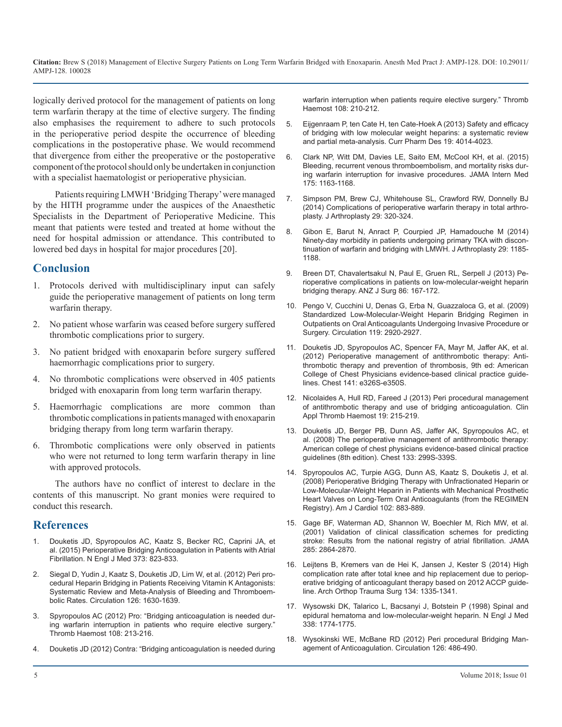[logically derived protocol for the management of patients on long](https://www.ncbi.nlm.nih.gov/pubmed/22688559)  term warfarin therapy at the time of elective surgery. The finding also emphasises the requirement to adhere to such protocols [in the perioperative period despite the occurrence of bleeding](https://www.ncbi.nlm.nih.gov/pubmed/23228321)  complications in the postoperative phase. We would recommend that divergence from either the preoperative or the postoperative [component of the protocol should only be undertaken in conjunction](https://www.ncbi.nlm.nih.gov/pubmed/26010033)  with a specialist haematologist or perioperative physician.

Patients requiring LMWH 'Bridging Therapy' were managed [by the HITH programme under the auspices of the Anaesthetic](https://www.ncbi.nlm.nih.gov/pubmed/24209787)  Specialists in the Department of Perioperative Medicine. This meant that patients were tested and treated at home without the [need for hospital admission or attendance. This contributed to](https://www.ncbi.nlm.nih.gov/pubmed/24468534)  lowered bed days in hospital for major procedures [20].

#### **Conclusion**

- 1. Protocols derived with multidisciplinary input can safely guide the perioperative management of patients on long term warfarin therapy.
- 2. No patient whose warfarin was ceased before surgery suffered thrombotic complications prior to surgery.
- 3. No patient bridged with enoxaparin before surgery suffered haemorrhagic complications prior to surgery.
- 4. No thrombotic complications were observed in 405 patients bridged with enoxaparin from long term warfarin therapy.
- 5. [Haemorrhagic complications are more common than](https://www.ncbi.nlm.nih.gov/pubmed/23529497)  thrombotic complications in patients managed with enoxaparin bridging therapy from long term warfarin therapy.
- 6. Thrombotic complications were only observed in patients who were not returned to long term warfarin therapy in line with approved protocols.

The authors have no conflict of interest to declare in the contents of this manuscript. No grant monies were required to conduct this research.

#### **References**

- 1. [Douketis JD, Spyropoulos AC, Kaatz S, Becker RC, Caprini JA, et](https://www.nejm.org/doi/full/10.1056/NEJMoa1501035)  [al. \(2015\) Perioperative Bridging Anticoagulation in Patients with Atrial](https://www.nejm.org/doi/full/10.1056/NEJMoa1501035)  [Fibrillation. N Engl J Med 373: 823-833](https://www.nejm.org/doi/full/10.1056/NEJMoa1501035).
- [Siegal D, Yudin J, Kaatz S, Douketis JD, Lim W, et al. \(2012\) Peri pro](https://www.ncbi.nlm.nih.gov/pubmed/22912386)[cedural Heparin Bridging in Patients Receiving Vitamin K Antagonists:](https://www.ncbi.nlm.nih.gov/pubmed/22912386)  [Systematic Review and Meta-Analysis of Bleeding and Thromboem](https://www.ncbi.nlm.nih.gov/pubmed/22912386)[bolic Rates. Circulation 126: 1630-1639](https://www.ncbi.nlm.nih.gov/pubmed/22912386).
- 3. [Spyropoulos AC \(2012\) Pro: "Bridging anticoagulation is needed dur](https://www.ncbi.nlm.nih.gov/pubmed/22688503)[ing warfarin interruption in patients who require elective surgery."](https://www.ncbi.nlm.nih.gov/pubmed/22688503)  [Thromb Haemost 108: 213-216](https://www.ncbi.nlm.nih.gov/pubmed/22688503).
- 4. [Douketis JD \(2012\) Contra: "Bridging anticoagulation is needed during](https://www.ncbi.nlm.nih.gov/pubmed/22688559)

warfarin interruption when patients require elective surgery." Thromb [Haemost 108: 210-212](https://www.ncbi.nlm.nih.gov/pubmed/22688559).

- 5. [Eijgenraam P, ten Cate H, ten Cate-Hoek A \(2013\) Safety and efficacy](https://www.ncbi.nlm.nih.gov/pubmed/23228321)  of bridging with low molecular weight heparins: a systematic review [and partial meta-analysis. Curr Pharm Des 19: 4014-4023.](https://www.ncbi.nlm.nih.gov/pubmed/23228321)
- 6. [Clark NP, Witt DM, Davies LE, Saito EM, McCool KH, et al. \(2015\)](https://www.ncbi.nlm.nih.gov/pubmed/26010033) Bleeding, recurrent venous thromboembolism, and mortality risks dur[ing warfarin interruption for invasive procedures. JAMA Intern Med](https://www.ncbi.nlm.nih.gov/pubmed/26010033)  [175: 1163-1168.](https://www.ncbi.nlm.nih.gov/pubmed/26010033)
- 7. [Simpson PM, Brew CJ, Whitehouse SL, Crawford RW, Donnelly BJ](https://www.ncbi.nlm.nih.gov/pubmed/24209787) (2014) Complications of perioperative warfarin therapy in total arthro[plasty. J Arthroplasty 29: 320-324](https://www.ncbi.nlm.nih.gov/pubmed/24209787).
- 8. [Gibon E, Barut N, Anract P, Courpied JP, Hamadouche M \(2014\)](https://www.ncbi.nlm.nih.gov/pubmed/24468534)  Ninety-day morbidity in patients undergoing primary TKA with discon[tinuation of warfarin and bridging with LMWH. J Arthroplasty 29: 1185-](https://www.ncbi.nlm.nih.gov/pubmed/24468534) [1188](https://www.ncbi.nlm.nih.gov/pubmed/24468534).
- 9. [Breen DT, Chavalertsakul N, Paul E, Gruen RL, Serpell J \(2013\) Pe](https://www.ncbi.nlm.nih.gov/pubmed/23336820)[rioperative complications in patients on low-molecular-weight heparin](https://www.ncbi.nlm.nih.gov/pubmed/23336820)  [bridging therapy. ANZ J Surg 86: 167-172](https://www.ncbi.nlm.nih.gov/pubmed/23336820).
- 10. [Pengo V, Cucchini U, Denas G, Erba N, Guazzaloca G, et al. \(2009\)](https://www.ncbi.nlm.nih.gov/pubmed/19470892) [Standardized Low-Molecular-Weight Heparin Bridging Regimen in](https://www.ncbi.nlm.nih.gov/pubmed/19470892)  [Outpatients on Oral Anticoagulants Undergoing Invasive Procedure or](https://www.ncbi.nlm.nih.gov/pubmed/19470892)  [Surgery. Circulation 119: 2920-2927](https://www.ncbi.nlm.nih.gov/pubmed/19470892).
- 11. [Douketis JD, Spyropoulos AC, Spencer FA, Mayr M, Jaffer AK, et al.](https://www.ncbi.nlm.nih.gov/pubmed/22315266)  [\(2012\) Perioperative management of antithrombotic therapy: Anti](https://www.ncbi.nlm.nih.gov/pubmed/22315266)[thrombotic therapy and prevention of thrombosis, 9th ed: American](https://www.ncbi.nlm.nih.gov/pubmed/22315266)  [College of Chest Physicians evidence-based clinical practice guide](https://www.ncbi.nlm.nih.gov/pubmed/22315266)[lines. Chest 141: e326S-e350S.](https://www.ncbi.nlm.nih.gov/pubmed/22315266)
- 12. [Nicolaides A, Hull RD, Fareed J \(2013\) Peri procedural management](https://www.ncbi.nlm.nih.gov/pubmed/23529497)  of antithrombotic therapy and use of bridging anticoagulation. Clin [Appl Thromb Haemost 19: 215-219.](https://www.ncbi.nlm.nih.gov/pubmed/23529497)
- 13. [Douketis JD, Berger PB, Dunn AS, Jaffer AK, Spyropoulos AC, et](https://www.ncbi.nlm.nih.gov/pubmed/18574269)  [al. \(2008\) The perioperative management of antithrombotic therapy:](https://www.ncbi.nlm.nih.gov/pubmed/18574269)  [American college of chest physicians evidence-based clinical practice](https://www.ncbi.nlm.nih.gov/pubmed/18574269)  [guidelines \(8th edition\). Chest 133: 299S-339S.](https://www.ncbi.nlm.nih.gov/pubmed/18574269)
- 14. [Spyropoulos AC, Turpie AGG, Dunn AS, Kaatz S, Douketis J, et al.](https://www.ncbi.nlm.nih.gov/pubmed/18805116) [\(2008\) Perioperative Bridging Therapy with Unfractionated Heparin or](https://www.ncbi.nlm.nih.gov/pubmed/18805116)  [Low-Molecular-Weight Heparin in Patients with Mechanical Prosthetic](https://www.ncbi.nlm.nih.gov/pubmed/18805116)  [Heart Valves on Long-Term Oral Anticoagulants \(from the REGIMEN](https://www.ncbi.nlm.nih.gov/pubmed/18805116) [Registry\). Am J Cardiol 102: 883-889.](https://www.ncbi.nlm.nih.gov/pubmed/18805116)
- 15. [Gage BF, Waterman AD, Shannon W, Boechler M, Rich MW, et al.](https://www.ncbi.nlm.nih.gov/pubmed/11401607) [\(2001\) Validation of clinical classification schemes for predicting](https://www.ncbi.nlm.nih.gov/pubmed/11401607) [stroke: Results from the national registry of atrial fibrillation. JAMA](https://www.ncbi.nlm.nih.gov/pubmed/11401607) [285: 2864-2870.](https://www.ncbi.nlm.nih.gov/pubmed/11401607)
- 16. [Leijtens B, Kremers van de Hei K, Jansen J, Kester S \(2014\) High](https://www.ncbi.nlm.nih.gov/pubmed/24990654)  [complication rate after total knee and hip replacement due to periop](https://www.ncbi.nlm.nih.gov/pubmed/24990654)[erative bridging of anticoagulant therapy based on 2012 ACCP guide](https://www.ncbi.nlm.nih.gov/pubmed/24990654)[line. Arch Orthop Trauma Surg 134: 1335-1341](https://www.ncbi.nlm.nih.gov/pubmed/24990654).
- 17. [Wysowski DK, Talarico L, Bacsanyi J, Botstein P \(1998\) Spinal and](https://www.nejm.org/doi/full/10.1056/NEJM199806113382415) [epidural hematoma and low-molecular-weight heparin. N Engl J Med](https://www.nejm.org/doi/full/10.1056/NEJM199806113382415)  [338: 1774-1775.](https://www.nejm.org/doi/full/10.1056/NEJM199806113382415)
- 18. [Wysokinski WE, McBane RD \(2012\) Peri procedural Bridging Man](https://www.ncbi.nlm.nih.gov/pubmed/22825410)agement of Anticoagulation. Circulation 126: 486-490.